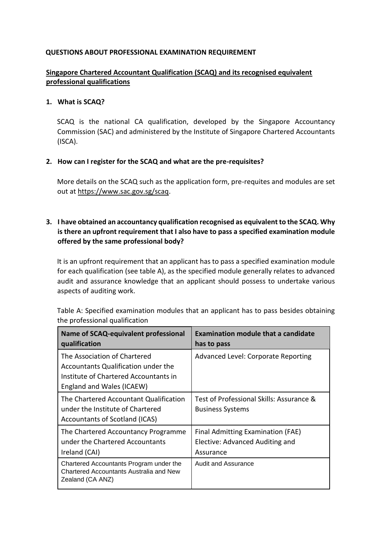### **QUESTIONS ABOUT PROFESSIONAL EXAMINATION REQUIREMENT**

# **Singapore Chartered Accountant Qualification (SCAQ) and its recognised equivalent professional qualifications**

#### **1. What is SCAQ?**

SCAQ is the national CA qualification, developed by the Singapore Accountancy Commission (SAC) and administered by the Institute of Singapore Chartered Accountants (ISCA).

#### **2. How can I register for the SCAQ and what are the pre-requisites?**

More details on the SCAQ such as the application form, pre-requites and modules are set out at [https://www.sac.gov.sg/scaq.](https://www.sac.gov.sg/scaq) 

## **3. I have obtained an accountancy qualification recognised as equivalent to the SCAQ. Why is there an upfront requirement that I also have to pass a specified examination module offered by the same professional body?**

It is an upfront requirement that an applicant has to pass a specified examination module for each qualification (see table A), as the specified module generally relates to advanced audit and assurance knowledge that an applicant should possess to undertake various aspects of auditing work.

| Name of SCAQ-equivalent professional<br>qualification                                                                                     | <b>Examination module that a candidate</b><br>has to pass                         |
|-------------------------------------------------------------------------------------------------------------------------------------------|-----------------------------------------------------------------------------------|
| The Association of Chartered<br>Accountants Qualification under the<br>Institute of Chartered Accountants in<br>England and Wales (ICAEW) | Advanced Level: Corporate Reporting                                               |
| The Chartered Accountant Qualification<br>under the Institute of Chartered<br>Accountants of Scotland (ICAS)                              | Test of Professional Skills: Assurance &<br><b>Business Systems</b>               |
| The Chartered Accountancy Programme<br>under the Chartered Accountants<br>Ireland (CAI)                                                   | Final Admitting Examination (FAE)<br>Elective: Advanced Auditing and<br>Assurance |
| Chartered Accountants Program under the<br>Chartered Accountants Australia and New<br>Zealand (CA ANZ)                                    | Audit and Assurance                                                               |

Table A: Specified examination modules that an applicant has to pass besides obtaining the professional qualification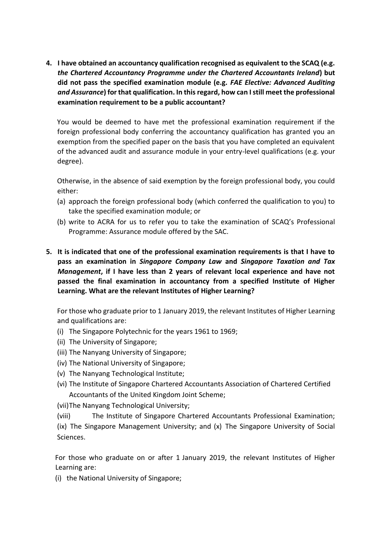**4. I have obtained an accountancy qualification recognised as equivalent to the SCAQ (e.g.**  *the Chartered Accountancy Programme under the Chartered Accountants Ireland***) but did not pass the specified examination module (e.g.** *FAE Elective: Advanced Auditing and Assurance***) for that qualification. In this regard, how can I still meet the professional examination requirement to be a public accountant?**

You would be deemed to have met the professional examination requirement if the foreign professional body conferring the accountancy qualification has granted you an exemption from the specified paper on the basis that you have completed an equivalent of the advanced audit and assurance module in your entry-level qualifications (e.g. your degree).

Otherwise, in the absence of said exemption by the foreign professional body, you could either:

- (a) approach the foreign professional body (which conferred the qualification to you) to take the specified examination module; or
- (b) write to ACRA for us to refer you to take the examination of SCAQ's Professional Programme: Assurance module offered by the SAC.
- **5. It is indicated that one of the professional examination requirements is that I have to pass an examination in** *Singapore Company Law* **and** *Singapore Taxation and Tax Management***, if I have less than 2 years of relevant local experience and have not passed the final examination in accountancy from a specified Institute of Higher Learning. What are the relevant Institutes of Higher Learning?**

For those who graduate prior to 1 January 2019, the relevant Institutes of Higher Learning and qualifications are:

- (i) The Singapore Polytechnic for the years 1961 to 1969;
- (ii) The University of Singapore;
- (iii) The Nanyang University of Singapore;
- (iv) The National University of Singapore;
- (v) The Nanyang Technological Institute;
- (vi) The Institute of Singapore Chartered Accountants Association of Chartered Certified Accountants of the United Kingdom Joint Scheme;

(vii)The Nanyang Technological University;

(viii) The Institute of Singapore Chartered Accountants Professional Examination; (ix) The Singapore Management University; and (x) The Singapore University of Social Sciences.

For those who graduate on or after 1 January 2019, the relevant Institutes of Higher Learning are:

(i) the National University of Singapore;